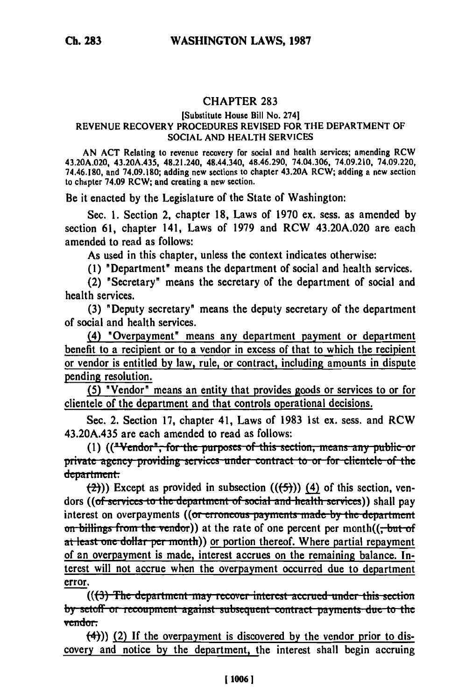## CHAPTER **283**

## [Substitute House Bill No. 2741 **REVENUE** RECOVERY PROCEDURES REVISED FOR THE DEPARTMENT OF **SOCIAL AND** HEALTH **SERVICES**

**AN ACT** Relating to revenue recovery for social and health services; amending RCW 43.20A.020, 43.20A.435, 48.21.240, 48.44.340, 48.46.290, 74.04.306, 74.09.210, 74.09.220, 74.46.180, and **74.09.180;** adding new sections to chapter 43.20A RCW; adding a new section to chapter 74.09 RCW; and creating a new section.

Be it enacted **by** the Legislature of the State of Washington:

Sec. **1.** Section 2, chapter **18,** Laws of **1970** ex. sess. as amended **by** section **61,** chapter 141, Laws of **1979** and RCW 43.20A.020 are each amended to read as follows:

As used in this chapter, unless the context indicates otherwise:

**(1)** "Department" means the department of social and health services.

(2) "Secretary" means the secretary of the department of social and health services.

**(3)** "Deputy secretary" means the deputy secretary of the department of social and health services.

(4) "Overpayment" means any department payment or department benefit to a recipient or to a vendor in excess of that to which the recipient or vendor is entitled **by** law, rule, or contract, including amounts in dispute pending resolution.

**(5)** "Vendor" means an entity that provides goods or services to or for clientele of the department and that controls operational decisions.

Sec. 2. Section **17,** chapter 41, Laws of **1983 1st** ex. sess. and RCW 43.20A.435 are each amended to read as follows:

(1) ((**"Vendor"**, for the purposes of this section, means any public or private agency providing services under contract to or for clientele of the department.

 $(\frac{2}{2})$ ) Except as provided in subsection  $((\frac{2}{3}))$  (4) of this section, vendors ((of services to the department of social and health services)) shall pay interest on overpayments ((or erroneous payments made by the department on billings from the vendor)) at the rate of one percent per month(( $\frac{1}{x}$ but-of at least one dollar per month)) or portion thereof. Where partial repayment of an overpayment is made, interest accrues on the remaining balance. Interest will not accrue when the overpayment occurred due to department error.

((<del>(3) The department may recover interest accrued under this section</del> **by setoff or recoupment against subsequent contract payments due to the** vendor:

(4))) (2) If the overpayment is discovered **by** the vendor prior to discovery and notice **by** the department, the interest shall begin accruing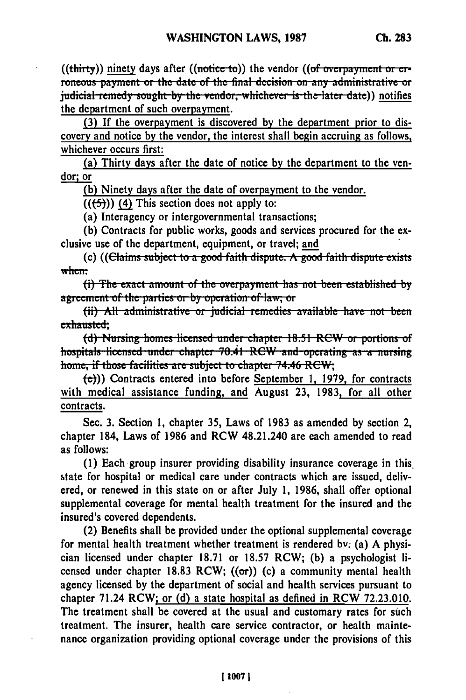((thirty)) ninety days after ((notice to)) the vendor ((of overpayment or erroneous payment or the date of the final decision on any administrative or judicial remedy sought by the vendor, whichever is the later date)) notifies the department of such overpayment.

**(3)** If the overpayment is discovered **by** the department prior to discovery and notice **by** the vendor, the interest shall begin accruing as follows, whichever occurs first:

(a) Thirty days after the date of notice **by** the department to the vendor; or

**(b)** Ninety days after the date of overpayment to the vendor.

 $((\left\lbrace 5 \right\rbrace))$  (4) This section does not apply to:

(a) Interagency or intergovernmental transactions;

**(b)** Contracts for public works, goods and services procured for the exclusive use of the department, equipment, or travel; and

(c) ((Claims subject to a good faith dispute. A good faith dispute exists when:<br>(i) The exact amount of the overpayment has not been established by

agreement of the parties or by operation of law; or

(ii) All administrative or judicial remedies available have not been exhausted;

(d) **Nursing homes licensed under chapter 18.51 RCW or portions of** hospitals licensed under chapter 70.41 RCW and operating as a nursing home, if those facilities are subject to chapter 74.46 RCW;

**(e)))** Contracts entered into before September **1,** 1979, for contracts with medical assistance funding, and August 23, 1983. for all other contracts.

Sec. **3.** Section 1, chapter **35,** Laws of 1983 as amended **by** section 2, chapter 184, Laws of 1986 and RCW 48.21.240 are each amended to read as follows:

**(1)** Each group insurer providing disability insurance coverage in this. state for hospital or medical care under contracts which are issued, delivered, or renewed in this state on or after July **1, 1986,** shall offer optional supplemental coverage for mental health treatment for the insured and the insured's covered dependents.

(2) Benefits shall be provided under the optional supplemental coverage for mental health treatment whether treatment is rendered by. (a) **A** physician licensed under chapter **18.71** or **18.57** RCW; **(b)** a psychologist licensed under chapter **18.83** RCW; ((or)) (c) a community mental health agency licensed **by** the department of social and health services pursuant to chapter 71.24 RCW; or **(d)** a state hospital as defined in RCW **72.23.010.** The treatment shall be covered at the usual and customary rates for such treatment. The insurer, health care service contractor, or health maintenance organization providing optional coverage under the provisions of this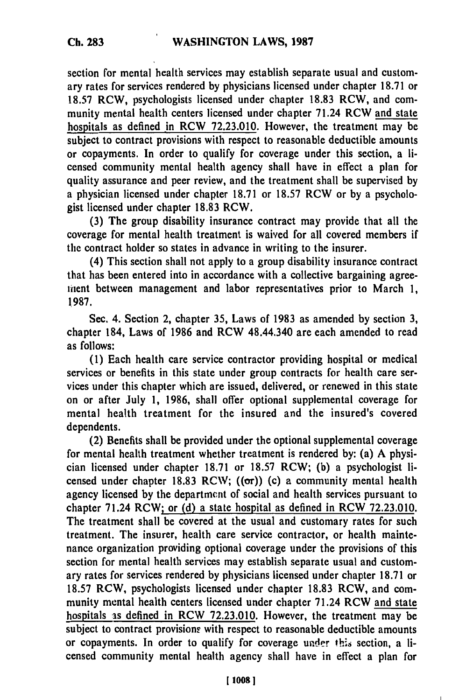section for mental health services may establish separate usual and customary rates for services rendered **by** physicians licensed under chapter **18.71** or **18.57** RCW, psychologists licensed under chapter **18.83** RCW, and community mental health centers licensed under chapter 71.24 RCW and state hospitals as defined in RCW **72.23.010.** However, the treatment may be subject to contract provisions with respect to reasonable deductible amounts or copayments. In order to qualify for coverage under this section, a licensed community mental health agency shall have in effect a plan for quality assurance and peer review, and the treatment shall be supervised **by** a physician licensed under chapter **18.71** or **18.57** RCW or **by** a psychologist licensed under chapter **18.83** RCW.

**(3)** The group disability insurance contract may provide that all the coverage for mental health treatment is waived for all covered members if the contract holder so states in advance in writing to the insurer.

(4) This section shall not apply to a group disability insurance contract that has been entered into in accordance with a collective bargaining agreefient between management and labor representatives prior to March **1, 1987.**

Sec. 4. Section 2, chapter **35,** Laws of **1983** as amended **by** section **3,** chapter 184, Laws of **1986** and RCW 48.44.340 are each amended to read as follows:

**(1)** Each health care service contractor providing hospital or medical services or benefits in this state under group contracts for health care services under this chapter which are issued, delivered, or renewed in this state on or after July **1, 1986,** shall offer optional supplemental coverage for mental health treatment for the insured and the insured's covered dependents.

(2) Benefits shall be provided under the optional supplemental coverage for mental health treatment whether treatment is rendered **by:** (a) **A** physician licensed under chapter **18.71** or **18.57** RCW; **(b)** a psychologist licensed under chapter 18.83 RCW;  $((\sigma r))$  (c) a community mental health agency licensed **by** the department of social and health services pursuant to chapter 71.24 RCW; or **(d)** a state hospital as defined in RCW **72.23.010.** The treatment shall be covered at the usual and customary rates for such treatment. The insurer, health care service contractor, or health maintenance organization providing optional coverage under the provisions of this section for mental health services may establish separate usual and customary rates for services rendered **by** physicians licensed under chapter **18.71** or **18.57** RCW, psychologists licensed under chapter **18.83** RCW, and community mental health centers licensed under chapter 71.24 RCW and state hospitals **as** defined in RCW **72.23.010.** However, the treatment may be subject to contract provisions with respect to reasonable deductible amounts or copayments. In order to qualify for coverage under this section, a licensed community mental health agency shall have in effect a plan for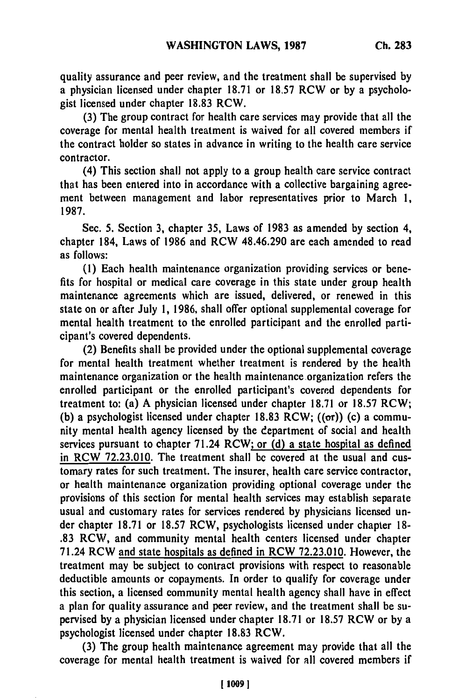quality assurance and peer review, and the treatment shall be supervised by a physician licensed under chapter 18.71 or 18.57 RCW or by a psychologist licensed under chapter 18.83 RCW.

(3) The group contract for health care services may provide that all the coverage for mental health treatment is waived for all covered members if the contract holder so states in advance in writing to the health care service contractor.

(4) This section shall not apply to a group health care service contract that has been entered into in accordance with a collective bargaining agreement between management and labor representatives prior to March 1, 1987.

Sec. 5. Section 3, chapter 35, Laws of 1983 as amended by section 4, chapter 184, Laws of 1986 and RCW 48.46.290 are each amended to read as follows:

(1) Each health maintenance organization providing services or benefits for hospital or medical care coverage in this state under group health maintenance agreements which are issued, delivered, or renewed in this state on or after July 1, 1986, shall offer optional supplemental coverage for mental health treatment to the enrolled participant and the enrolled participant's covered dependents.

(2) Benefits shall be provided under the optional supplemental coverage for mental health treatment whether treatment is rendered by the health maintenance organization or the health maintenance organization refers the enrolled participant or the enrolled participant's covered dependents for treatment to: (a) A physician licensed under chapter 18.71 or 18.57 RCW; (b) a psychologist licensed under chapter 18.83 RCW;  $((\sigma r))$  (c) a community mental health agency licensed by the department of social and health services pursuant to chapter 71.24 RCW; or **(d)** a state hospital as defined in RCW 72.23.010. The treatment shall be covered at the usual and customary rates for such treatment. The insurer, health care service contractor, or health maintenance organization providing optional coverage under the provisions of this section for mental health services may establish separate usual and customary rates for services rendered by physicians licensed under chapter 18.71 or 18.57 RCW, psychologists licensed under chapter 18- .83 RCW, and community mental health centers licensed under chapter 71.24 RCW and state hospitals as defined in RCW 72.23.010. However, the treatment may be subject to contract provisions with respect to reasonable deductible amounts or copayments. In order to qualify for coverage under this section, a licensed community mental health agency shall have in effect a plan for quality assurance and peer review, and the treatment shall be supervised by a physician licensed under chapter 18.71 or 18.57 RCW or by a psychologist licensed under chapter 18.83 RCW.

(3) The group health maintenance agreement may provide that all the coverage for mental health treatment is waived for all covered members if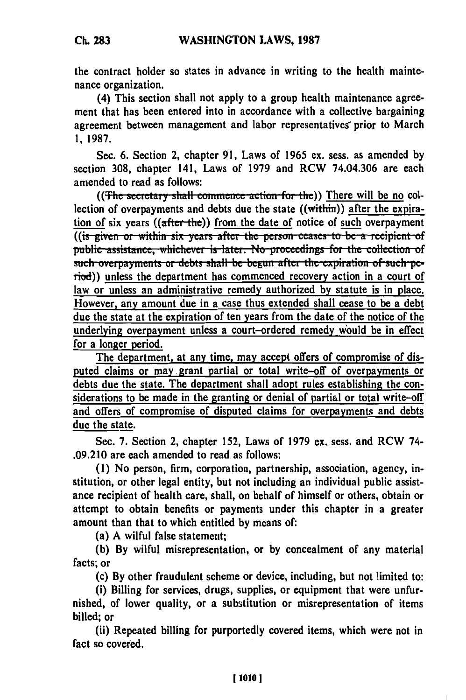**Ch. 283**

the contract holder so states in advance in writing to the health maintenance organization.

(4) This section shall not apply to a group health maintenance agreement that has been entered into in accordance with a collective bargaining agreement between management and labor representatives prior to March **1, 1987.**

Sec. **6.** Section 2, chapter **91,** Laws of 1965 ex. sess. as amended **by** section **308,** chapter 141, Laws of **1979** and RCW 74.04.306 are each amended to read as follows:

((The secretary shall commence action for the)) There will be no collection of overpayments and debts due the state ((within)) after the expiration **of** six years ((after-the)) from the date of notice of such overpayment **((is given or within six years after the person ceases to be a recipient of** public assistance, whichever is later. No proceedings for the collection of such overpayments or debts shall be begun after the expiration of such period)) unless the department has commenced recovery action in a court of law or unless an administrative remedy authorized **by** statute is in place. However, any amount due in a case thus extended shall cease to be a debt due the state at the expiration of ten years from the date of the notice of the underlying overpayment unless a court-ordered remedy would be in effect for a longer period.

The department, at any time, may accept offers of compromise of disputed claims or may grant partial or total write-off of overpayments or debts due the state. The department shall adopt rules establishing the considerations to be made in the granting or denial of partial or total write-off and offers of compromise of disputed claims for overpayments and debts due the state.

Sec. **7.** Section 2, chapter **152,** Laws of **1979** ex. sess. and RCW 74- **.09.210** are each amended to read as follows:

**(1)** No person, firm, corporation, partnership, association, agency, institution, or other legal entity, but not including an individual public assistance recipient of health care, shall, on behalf of himself or others, obtain or attempt to obtain benefits or payments under this chapter in a greater amount than that to which entitled **by** means **of:**

(a) A wilful false statement;

**(b) By** wilful misrepresentation, or **by** concealment of any material facts; or

(c) **By** other fraudulent scheme or device, including, but not limited to:

(i) Billing for services, drugs, supplies, or equipment that were unfurnished, of lower quality, or a substitution or misrepresentation of items billed; or

(ii) Repeated billing for purportedly covered items, which were not in fact so covered.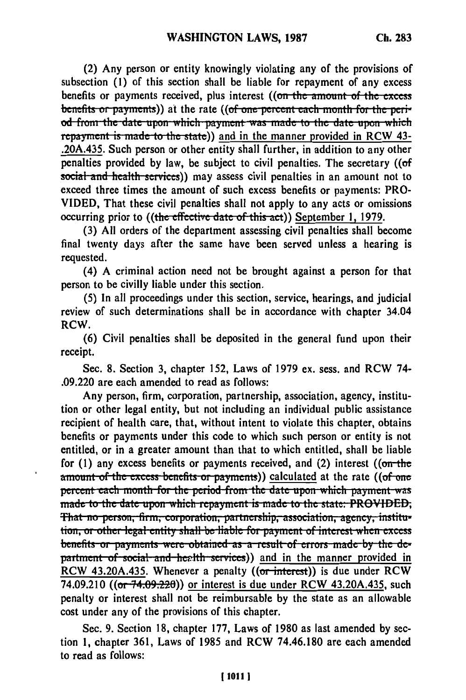**(2) Any** person or entity knowingly violating any of the provisions of subsection **(1)** of this section shall be liable for repayment of any excess benefits or payments received, plus interest ((on the amount of the excess benefits or payments)) at the rate ((of one percent each month for the peri*d* from the date upon which payment was made to the date upon which repayment is made to the state)) and in the manner provided in RCW 43-.20A.435. Such person or other entity shall further, in addition to any other penalties provided **by** law, be subject to civil penalties. The secretary **((of** social and health services)) may assess civil penalties in an amount not to exceed three times the amount of such excess benefits or payments: PRO-VIDED, That these civil penalties shall not apply to any acts or omissions occurring prior to ((the effective date of this act)) September 1, 1979.

**(3) All** orders of the department assessing civil penalties shall become final twenty days after the same have been served unless a hearing is requested.

(4) **A** criminal action need not be brought against a person for that person to be civilly liable under this section.

**(5)** In all proceedings under this section, service, hearings, and judicial review of such determinations shall be in accordance with chapter 34.04 **RCW.**

**(6)** Civil penalties shall be deposited in the general fund upon their receipt.

Sec. **8.** Section **3,** chapter **152,** Laws of **1979** ex. sess. and RCW 74- **.09.220** are each amended to read as follows:

Any person, firm, corporation, partnership, association, agency, institution or other legal entity, but not including an individual public assistance recipient of health care, that, without intent to violate this chapter, obtains benefits or payments under this code to which such person or entity is not entitled, or in a greater amount than that to which entitled, shall be liable for **(1)** any excess benefits or payments received, and (2) interest ((on-the amount of the excess benefits or payments)) calculated at the rate ((of one **percent each month for the period from the date upon which payment-was** made to the date upon which repayment is made to the state. **PROVIDED**, That no person, firm, corporation, partnership, association, agency, institu-<br>tion, or other legal entity shall be liable for payment of interest when excess **benefits or payments were obtained as a result of errors made-by the de**partment of social and health services)) and in the manner provided in RCW 43.20A.435. Whenever a penalty  $((\overline{\text{or interest}}))$  is due under RCW 74.09.210 ((or 74.09.220)) or interest is due under RCW 43.20A.435, such penalty or interest shall not be reimbursable **by** the state as an allowable cost under any of the provisions of this chapter.

Sec. 9. Section 18, chapter 177, Laws of 1980 as last amended by section 1, chapter 361, Laws of 1985 and RCW 74.46.180 are each amended to read as follows: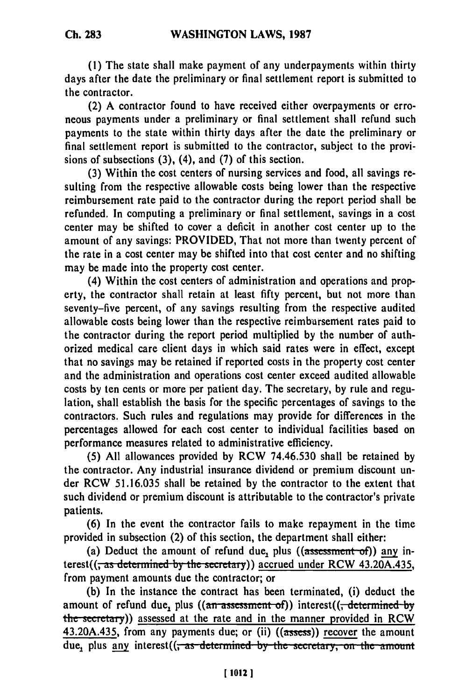**Ch. 283**

**(1) The** state shall make payment of any underpayments within thirty days after the date the preliminary or final settlement report is submitted to the contractor.

(2) A contractor found to have received either overpayments or erroneous payments under a preliminary or final settlement shall refund such payments to the state within thirty days after the date the preliminary or final settlement report is submitted to the contractor, subject to the provisions of subsections (3), (4), and (7) of this section.

(3) Within the cost centers of nursing services and food, all savings resulting from the respective allowable costs being lower than the respective reimbursement rate paid to the contractor during the report period shall be refunded. In computing a preliminary or final settlement, savings in a cost center may be shifted to cover a deficit in another cost center up to the amount of any savings: PROVIDED, That not more than twenty percent of the rate in a cost center may be shifted into that cost center and no shifting may be made into the property cost center.

(4) Within the cost centers of administration and operations and property, the contractor shall retain at least fifty percent, but not more than seventy-five percent, of any savings resulting from the respective audited allowable costs being lower than the respective reimbursement rates paid to the contractor during the report period multiplied by the number of authorized medical care client days in which said rates were in effect, except that no savings may be retained if reported costs in the property cost center and the administration and operations cost center exceed audited allowable costs by ten cents or more per patient day. The secretary, by rule and regulation, shall establish the basis for the specific percentages of savings to the contractors. Such rules and regulations may provide for differences in the percentages allowed for each cost center to individual facilities based on performance measures related to administrative efficiency.

(5) All allowances provided by RCW 74.46.530 shall be retained by the contractor. Any industrial insurance dividend or premium discount under RCW 51.16.035 shall be retained by the contractor to the extent that such dividend or premium discount is attributable to the contractor's private patients.

(6) In the event the contractor fails to make repayment in the time provided in subsection (2) of this section, the department shall either:

(a) Deduct the amount of refund due, plus  $(($ assessment of)) any interest((, *as* d,,L,, 1,Ae **by** thee.i **y))** accrued under RCW 43.20A.435, from payment amounts due the contractor; or

(b) In the instance the contract has been terminated, (i) deduct the amount of refund due, plus  $((an-assert of))$  interest $((, determined by$ the secretary)) assessed at the rate and in the manner provided in RCW 43.20A.435, from any payments due; or (ii) ((assess)) recover the amount due, plus any interest((<del>, as determined by the secretary, on the amount</del>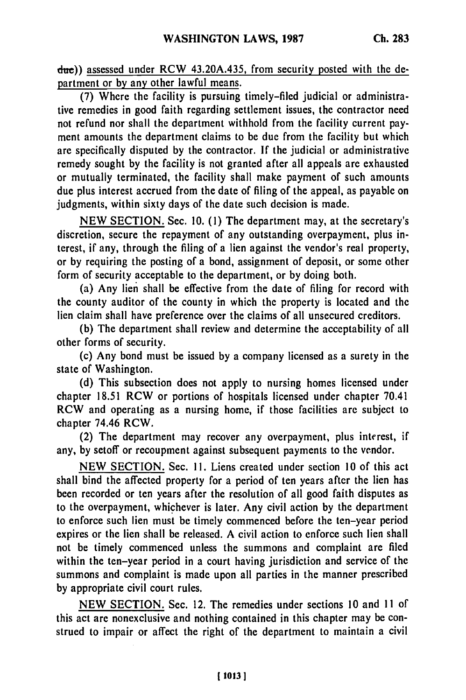**due))** assessed under RCW 43.20A.435, from security posted with the department or **by** any other lawful means.

**(7)** Where the facility is pursuing timely-filed judicial or administrative remedies in good faith regarding settlement issues, the contractor need not refund nor shall the department withhold from the facility current payment amounts the department claims to be due from the facility but which **are** specifically disputed **by** the contractor. **If** the judicial or administrative remedy sought **by** the facility is not granted after all appeals are exhausted or mutually terminated, the facility shall make payment of such amounts due plus interest accrued from the date of filing of the appeal, as payable on judgments, within sixty days of the date such decision is made.

**NEW SECTION.** Sec. **10. (1)** The department may, at the secretary's discretion, secure the repayment of any outstanding overpayment, plus interest, if any, through the filing of a lien against the vendor's real property, or **by** requiring the posting of a bond, assignment of deposit, or some other form of security acceptable to the department, or **by** doing both.

(a) Any lien shall be effective from the date of filing for record with the county auditor of the county in which the property is located and the lien claim shall have preference over the claims of all unsecured creditors.

**(b)** The department shall review and determine the acceptability of all other forms of security.

(c) Any bond must be issued **by** a company licensed as a surety in the state of Washington.

**(d)** This subsection does not apply to nursing homes licensed under chapter **18.51** RCW or portions of hospitals licensed under chapter 70.41 RCW and operating as a nursing home, if those facilities are subject to chapter 74.46 RCW.

(2) The department may recover any overpayment, plus interest, if any, **by** setoff or recoupment against subsequent payments to the vendor.

**NEW SECTION.** Sec. **1.** Liens created under section **10** of this act shall bind the affected property for a period of ten years after the lien has been recorded or ten years after the resolution of all good faith disputes as to the overpayment, whichever is later. Any civil action **by** the department to enforce such lien must be timely commenced before the ten-year period expires or the lien shall be released. **A** civil action to enforce such lien shall not be timely commenced unless the summons and complaint are filed within the ten-year period in a court having jurisdiction and service of the summons and complaint is made upon all parties in the manner prescribed **by** appropriate civil court rules.

**NEW SECTION.** Sec. 12. The remedies under sections **10** and **11** of this act are nonexclusive and nothing contained in this chapter may be construed to impair or affect the right of the department to maintain a civil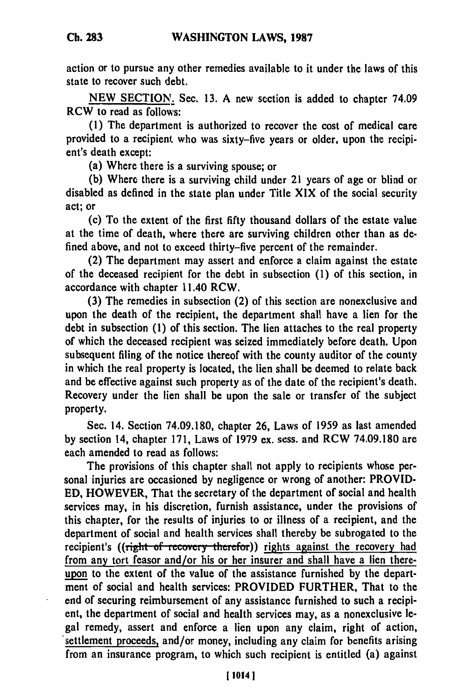action or to pursue any other remedies available to it under the laws of this state to recover such debt.

**NEW** SECTION. Sec. 13. A new section is added to chapter 74.09 RCW to read as follows:

**(1)** The department is authorized to recover the cost of medical care provided to a recipient who was sixty-five years or older, upon the recipient's death except:

(a) Where there is a surviving spouse; or

**(b)** Where there is a surviving child under 21 years of age or blind or disabled as defined in the state plan under Title XIX of the social security act; or

(c) To the extent of the first **fifty** thousand dollars of the estate value at the time of death, where there are surviving children other than as defined above, and not to exceed thirty-five percent of the remainder.

(2) The department may assert and enforce a claim against the estate of the deceased recipient for the debt in subsection **(1)** of this section, in accordance with chapter 11.40 RCW.

**(3)** The remedies in subsection (2) of this section are nonexclusive and upon the death of the recipient, the department shall have a lien for the debt in subsection **(1)** of this section. The lien attaches to the real property of which the deceased recipient was seized immediately before death. Upon subsequent filing of the notice thereof with the county auditor of the county in which the real property is located, the lien shall be deemed to relate back and be effective against such property as of the date of the recipient's death. Recovery under the lien shall be upon the sale or transfer of the subject property.

Sec. 14. Section **74.09.180,** chapter **26,** Laws of **1959** as last amended **by** section 14, chapter **171,** Laws of **1979** ex. sess. and RCW **74.09.180** are each amended to read as follows:

The provisions of this chapter shall not apply to recipients whose personal injuries are occasioned **by** negligence or wrong of another: PROVID-**ED,** HOWEVER, That the secretary of the department of social and health services may, in his discretion, furnish assistance, under the provisions of this chapter, for the results of injuries to or illness of a recipient, and the department of social and health services shall thereby be subrogated to the recipient's ((right of recovery therefor)) rights against the recovery had from any tort feasor and/or his or her insurer and shall have a lien thereupon to the extent of the value of the assistance furnished **by** the department of social and health services: PROVIDED FURTHER, That to the end of securing reimbursement of any assistance furnished to such a recipient, the department of social and health services may, as a nonexclusive legal remedy, assert and enforce a lien upon any claim, right of action, settlement proceeds, and/or money, including any claim for benefits arising from an insurance program, to which such recipient is entitled (a) against

**Ch. 283**